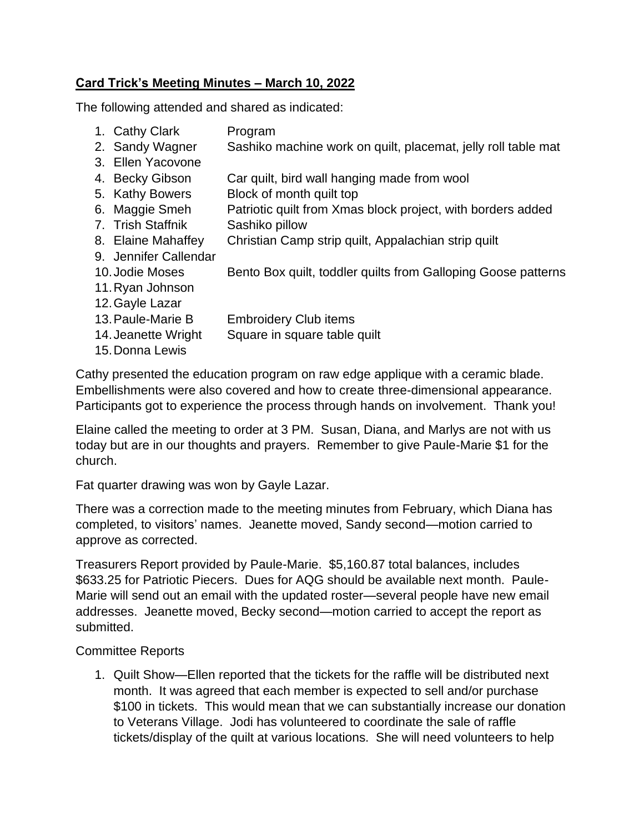## **Card Trick's Meeting Minutes – March 10, 2022**

The following attended and shared as indicated:

- 1. Cathy Clark Program
- 2. Sandy Wagner Sashiko machine work on quilt, placemat, jelly roll table mat
- 3. Ellen Yacovone
- 4. Becky Gibson Car quilt, bird wall hanging made from wool
- 5. Kathy Bowers Block of month quilt top
- 6. Maggie Smeh Patriotic quilt from Xmas block project, with borders added
- 7. Trish Staffnik Sashiko pillow
- 8. Elaine Mahaffey Christian Camp strip quilt, Appalachian strip quilt
- 9. Jennifer Callendar
- 10. Jodie Moses Bento Box quilt, toddler quilts from Galloping Goose patterns
- 11.Ryan Johnson
- 12.Gayle Lazar
- 13.Paule-Marie B Embroidery Club items
- 14. Jeanette Wright Square in square table quilt
- 15.Donna Lewis

Cathy presented the education program on raw edge applique with a ceramic blade. Embellishments were also covered and how to create three-dimensional appearance. Participants got to experience the process through hands on involvement. Thank you!

Elaine called the meeting to order at 3 PM. Susan, Diana, and Marlys are not with us today but are in our thoughts and prayers. Remember to give Paule-Marie \$1 for the church.

Fat quarter drawing was won by Gayle Lazar.

There was a correction made to the meeting minutes from February, which Diana has completed, to visitors' names. Jeanette moved, Sandy second—motion carried to approve as corrected.

Treasurers Report provided by Paule-Marie. \$5,160.87 total balances, includes \$633.25 for Patriotic Piecers. Dues for AQG should be available next month. Paule-Marie will send out an email with the updated roster—several people have new email addresses. Jeanette moved, Becky second—motion carried to accept the report as submitted.

## Committee Reports

1. Quilt Show—Ellen reported that the tickets for the raffle will be distributed next month. It was agreed that each member is expected to sell and/or purchase \$100 in tickets. This would mean that we can substantially increase our donation to Veterans Village. Jodi has volunteered to coordinate the sale of raffle tickets/display of the quilt at various locations. She will need volunteers to help